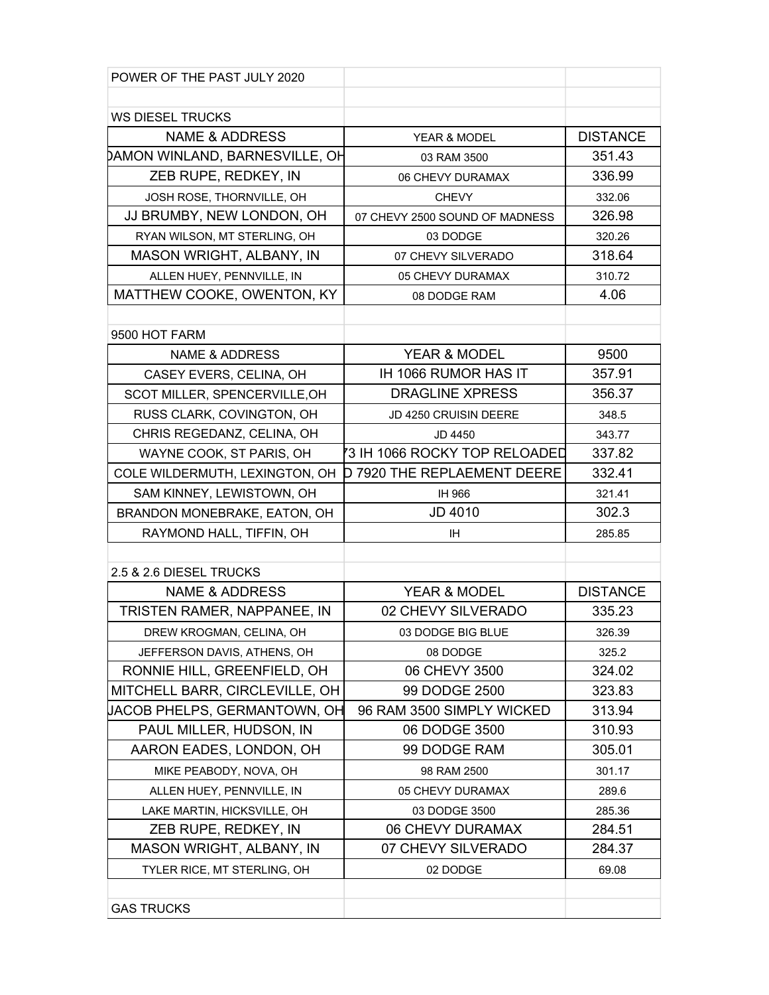| POWER OF THE PAST JULY 2020    |                                    |                 |
|--------------------------------|------------------------------------|-----------------|
|                                |                                    |                 |
| <b>WS DIESEL TRUCKS</b>        |                                    |                 |
| <b>NAME &amp; ADDRESS</b>      | YEAR & MODEL                       | <b>DISTANCE</b> |
| DAMON WINLAND, BARNESVILLE, OH | 03 RAM 3500                        | 351.43          |
| ZEB RUPE, REDKEY, IN           | 06 CHEVY DURAMAX                   | 336.99          |
| JOSH ROSE, THORNVILLE, OH      | <b>CHEVY</b>                       | 332.06          |
| JJ BRUMBY, NEW LONDON, OH      | 07 CHEVY 2500 SOUND OF MADNESS     | 326.98          |
| RYAN WILSON, MT STERLING, OH   | 03 DODGE                           | 320.26          |
| MASON WRIGHT, ALBANY, IN       | 07 CHEVY SILVERADO                 | 318.64          |
| ALLEN HUEY, PENNVILLE, IN      | 05 CHEVY DURAMAX                   | 310.72          |
| MATTHEW COOKE, OWENTON, KY     | 08 DODGE RAM                       | 4.06            |
|                                |                                    |                 |
| 9500 HOT FARM                  |                                    |                 |
| NAME & ADDRESS                 | <b>YEAR &amp; MODEL</b>            | 9500            |
| CASEY EVERS, CELINA, OH        | IH 1066 RUMOR HAS IT               | 357.91          |
| SCOT MILLER, SPENCERVILLE, OH  | <b>DRAGLINE XPRESS</b>             | 356.37          |
| RUSS CLARK, COVINGTON, OH      | JD 4250 CRUISIN DEERE              | 348.5           |
| CHRIS REGEDANZ, CELINA, OH     | JD 4450                            | 343.77          |
| WAYNE COOK, ST PARIS, OH       | 73 IH 1066 ROCKY TOP RELOADED      | 337.82          |
| COLE WILDERMUTH, LEXINGTON, OH | <b>D 7920 THE REPLAEMENT DEERE</b> | 332.41          |
| SAM KINNEY, LEWISTOWN, OH      | IH 966                             | 321.41          |
| BRANDON MONEBRAKE, EATON, OH   | JD 4010                            | 302.3           |
| RAYMOND HALL, TIFFIN, OH       | <b>IH</b>                          | 285.85          |
|                                |                                    |                 |
| 2.5 & 2.6 DIESEL TRUCKS        |                                    |                 |
| <b>NAME &amp; ADDRESS</b>      | YEAR & MODEL                       | <b>DISTANCE</b> |
| TRISTEN RAMER, NAPPANEE, IN    | 02 CHEVY SILVERADO                 | 335.23          |
| DREW KROGMAN, CELINA, OH       | 03 DODGE BIG BLUE                  | 326.39          |
| JEFFERSON DAVIS, ATHENS, OH    | 08 DODGE                           | 325.2           |
| RONNIE HILL, GREENFIELD, OH    | 06 CHEVY 3500                      | 324.02          |
| MITCHELL BARR, CIRCLEVILLE, OH | 99 DODGE 2500                      | 323.83          |
| UACOB PHELPS, GERMANTOWN, OH   | 96 RAM 3500 SIMPLY WICKED          | 313.94          |
| PAUL MILLER, HUDSON, IN        | 06 DODGE 3500                      | 310.93          |
| AARON EADES, LONDON, OH        | 99 DODGE RAM                       | 305.01          |
| MIKE PEABODY, NOVA, OH         | 98 RAM 2500                        | 301.17          |
| ALLEN HUEY, PENNVILLE, IN      | 05 CHEVY DURAMAX                   | 289.6           |
| LAKE MARTIN, HICKSVILLE, OH    | 03 DODGE 3500                      | 285.36          |
| ZEB RUPE, REDKEY, IN           | 06 CHEVY DURAMAX                   | 284.51          |
| MASON WRIGHT, ALBANY, IN       | 07 CHEVY SILVERADO                 | 284.37          |
| TYLER RICE, MT STERLING, OH    | 02 DODGE                           | 69.08           |
|                                |                                    |                 |
| <b>GAS TRUCKS</b>              |                                    |                 |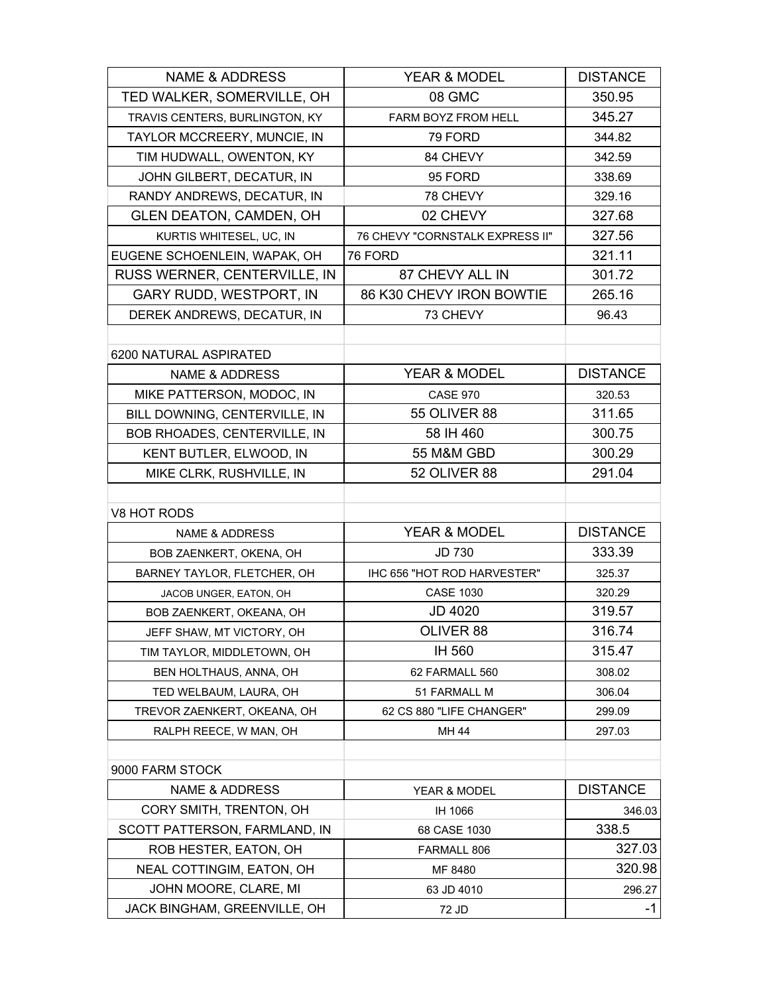| <b>NAME &amp; ADDRESS</b>      | YEAR & MODEL                    | <b>DISTANCE</b> |
|--------------------------------|---------------------------------|-----------------|
| TED WALKER, SOMERVILLE, OH     | 08 GMC                          | 350.95          |
| TRAVIS CENTERS, BURLINGTON, KY | FARM BOYZ FROM HELL             | 345.27          |
| TAYLOR MCCREERY, MUNCIE, IN    | 79 FORD                         | 344.82          |
| TIM HUDWALL, OWENTON, KY       | 84 CHEVY                        | 342.59          |
| JOHN GILBERT, DECATUR, IN      | 95 FORD                         | 338.69          |
| RANDY ANDREWS, DECATUR, IN     | 78 CHEVY                        | 329.16          |
| <b>GLEN DEATON, CAMDEN, OH</b> | 02 CHEVY                        | 327.68          |
| KURTIS WHITESEL, UC, IN        | 76 CHEVY "CORNSTALK EXPRESS II" | 327.56          |
| EUGENE SCHOENLEIN, WAPAK, OH   | 76 FORD                         | 321.11          |
| RUSS WERNER, CENTERVILLE, IN   | 87 CHEVY ALL IN                 | 301.72          |
| <b>GARY RUDD, WESTPORT, IN</b> | 86 K30 CHEVY IRON BOWTIE        | 265.16          |
| DEREK ANDREWS, DECATUR, IN     | 73 CHEVY                        | 96.43           |
|                                |                                 |                 |
| 6200 NATURAL ASPIRATED         |                                 |                 |
| <b>NAME &amp; ADDRESS</b>      | YEAR & MODEL                    | <b>DISTANCE</b> |
| MIKE PATTERSON, MODOC, IN      | <b>CASE 970</b>                 | 320.53          |
| BILL DOWNING, CENTERVILLE, IN  | <b>55 OLIVER 88</b>             | 311.65          |
| BOB RHOADES, CENTERVILLE, IN   | 58 IH 460                       | 300.75          |
| KENT BUTLER, ELWOOD, IN        | 55 M&M GBD                      | 300.29          |
| MIKE CLRK, RUSHVILLE, IN       | 52 OLIVER 88                    | 291.04          |
|                                |                                 |                 |
| V8 HOT RODS                    |                                 |                 |
| <b>NAME &amp; ADDRESS</b>      | YEAR & MODEL                    | <b>DISTANCE</b> |
| BOB ZAENKERT, OKENA, OH        | <b>JD 730</b>                   | 333.39          |
| BARNEY TAYLOR, FLETCHER, OH    | IHC 656 "HOT ROD HARVESTER"     | 325.37          |
| JACOB UNGER, EATON, OH         | <b>CASE 1030</b>                | 320.29          |
| BOB ZAENKERT, OKEANA, OH       | <b>JD 4020</b>                  | 319.57          |
| JEFF SHAW, MT VICTORY, OH      | OLIVER 88                       | 316.74          |
| TIM TAYLOR, MIDDLETOWN, OH     | IH 560                          | 315.47          |
| BEN HOLTHAUS, ANNA, OH         | 62 FARMALL 560                  | 308.02          |
| TED WELBAUM, LAURA, OH         | 51 FARMALL M                    | 306.04          |
| TREVOR ZAENKERT, OKEANA, OH    | 62 CS 880 "LIFE CHANGER"        | 299.09          |
| RALPH REECE, W MAN, OH         | MH 44                           | 297.03          |
|                                |                                 |                 |
| 9000 FARM STOCK                |                                 |                 |
| <b>NAME &amp; ADDRESS</b>      | YEAR & MODEL                    | <b>DISTANCE</b> |
| CORY SMITH, TRENTON, OH        | IH 1066                         | 346.03          |
| SCOTT PATTERSON, FARMLAND, IN  | 68 CASE 1030                    | 338.5           |
| ROB HESTER, EATON, OH          | FARMALL 806                     | 327.03          |
| NEAL COTTINGIM, EATON, OH      | MF 8480                         | 320.98          |
| JOHN MOORE, CLARE, MI          | 63 JD 4010                      | 296.27          |
| JACK BINGHAM, GREENVILLE, OH   | 72 JD                           | -1              |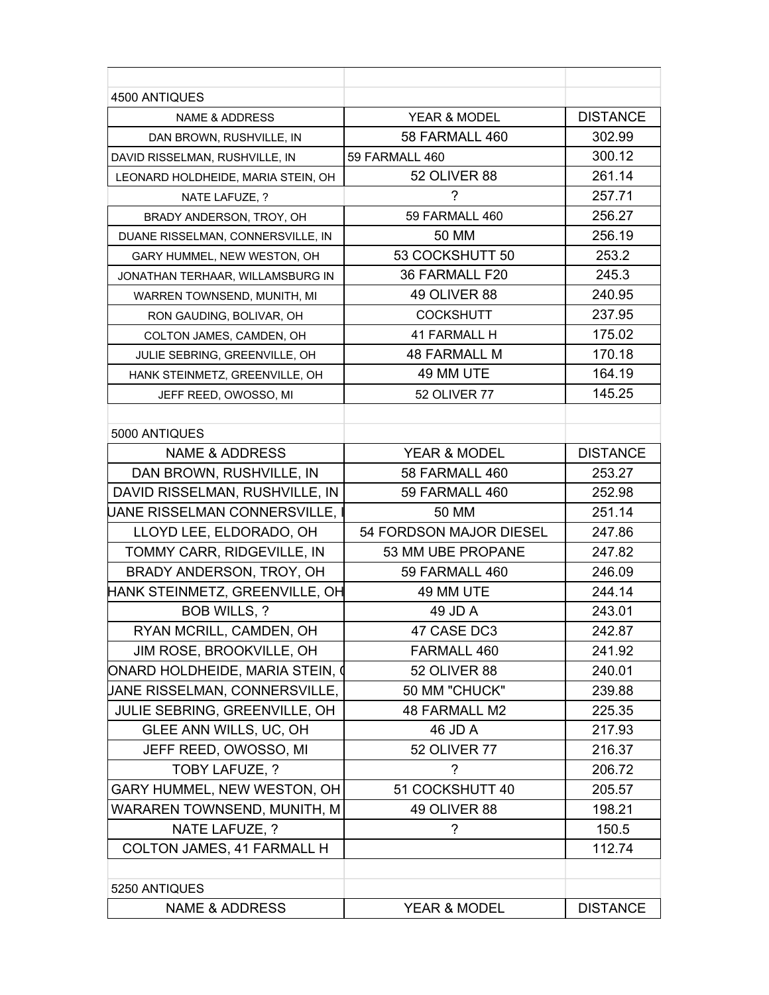| 4500 ANTIQUES                      |                         |                 |
|------------------------------------|-------------------------|-----------------|
| NAME & ADDRESS                     | YEAR & MODEL            | <b>DISTANCE</b> |
| DAN BROWN, RUSHVILLE, IN           | 58 FARMALL 460          | 302.99          |
| DAVID RISSELMAN, RUSHVILLE, IN     | 59 FARMALL 460          | 300.12          |
| LEONARD HOLDHEIDE, MARIA STEIN, OH | 52 OLIVER 88            | 261.14          |
| NATE LAFUZE, ?                     | ?                       | 257.71          |
| BRADY ANDERSON, TROY, OH           | 59 FARMALL 460          | 256.27          |
| DUANE RISSELMAN, CONNERSVILLE, IN  | 50 MM                   | 256.19          |
| GARY HUMMEL, NEW WESTON, OH        | 53 COCKSHUTT 50         | 253.2           |
| JONATHAN TERHAAR, WILLAMSBURG IN   | 36 FARMALL F20          | 245.3           |
| WARREN TOWNSEND, MUNITH, MI        | 49 OLIVER 88            | 240.95          |
| RON GAUDING, BOLIVAR, OH           | <b>COCKSHUTT</b>        | 237.95          |
| COLTON JAMES, CAMDEN, OH           | 41 FARMALL H            | 175.02          |
| JULIE SEBRING, GREENVILLE, OH      | <b>48 FARMALL M</b>     | 170.18          |
| HANK STEINMETZ, GREENVILLE, OH     | 49 MM UTE               | 164.19          |
| JEFF REED, OWOSSO, MI              | <b>52 OLIVER 77</b>     | 145.25          |
|                                    |                         |                 |
| 5000 ANTIQUES                      |                         |                 |
| <b>NAME &amp; ADDRESS</b>          | YEAR & MODEL            | <b>DISTANCE</b> |
| DAN BROWN, RUSHVILLE, IN           | 58 FARMALL 460          | 253.27          |
| DAVID RISSELMAN, RUSHVILLE, IN     | 59 FARMALL 460          | 252.98          |
| JANE RISSELMAN CONNERSVILLE, I     | 50 MM                   | 251.14          |
| LLOYD LEE, ELDORADO, OH            | 54 FORDSON MAJOR DIESEL | 247.86          |
| TOMMY CARR, RIDGEVILLE, IN         | 53 MM UBE PROPANE       | 247.82          |
| BRADY ANDERSON, TROY, OH           | 59 FARMALL 460          | 246.09          |
| HANK STEINMETZ, GREENVILLE, OH     | 49 MM UTE               | 244.14          |
| BOB WILLS, ?                       | 49 JD A                 | 243.01          |
| RYAN MCRILL, CAMDEN, OH            | 47 CASE DC3             | 242.87          |
| JIM ROSE, BROOKVILLE, OH           | FARMALL 460             | 241.92          |
| ONARD HOLDHEIDE, MARIA STEIN, (    | 52 OLIVER 88            | 240.01          |
| JANE RISSELMAN, CONNERSVILLE,      | 50 MM "CHUCK"           | 239.88          |
| JULIE SEBRING, GREENVILLE, OH      | 48 FARMALL M2           | 225.35          |
| GLEE ANN WILLS, UC, OH             | 46 JD A                 | 217.93          |
| JEFF REED, OWOSSO, MI              | <b>52 OLIVER 77</b>     | 216.37          |
| TOBY LAFUZE, ?                     | ?                       | 206.72          |
| GARY HUMMEL, NEW WESTON, OH        | 51 COCKSHUTT 40         | 205.57          |
| WARAREN TOWNSEND, MUNITH, M        | 49 OLIVER 88            | 198.21          |
| NATE LAFUZE, ?                     | ?                       | 150.5           |
| COLTON JAMES, 41 FARMALL H         |                         | 112.74          |
|                                    |                         |                 |
| 5250 ANTIQUES                      |                         |                 |
| <b>NAME &amp; ADDRESS</b>          | YEAR & MODEL            | <b>DISTANCE</b> |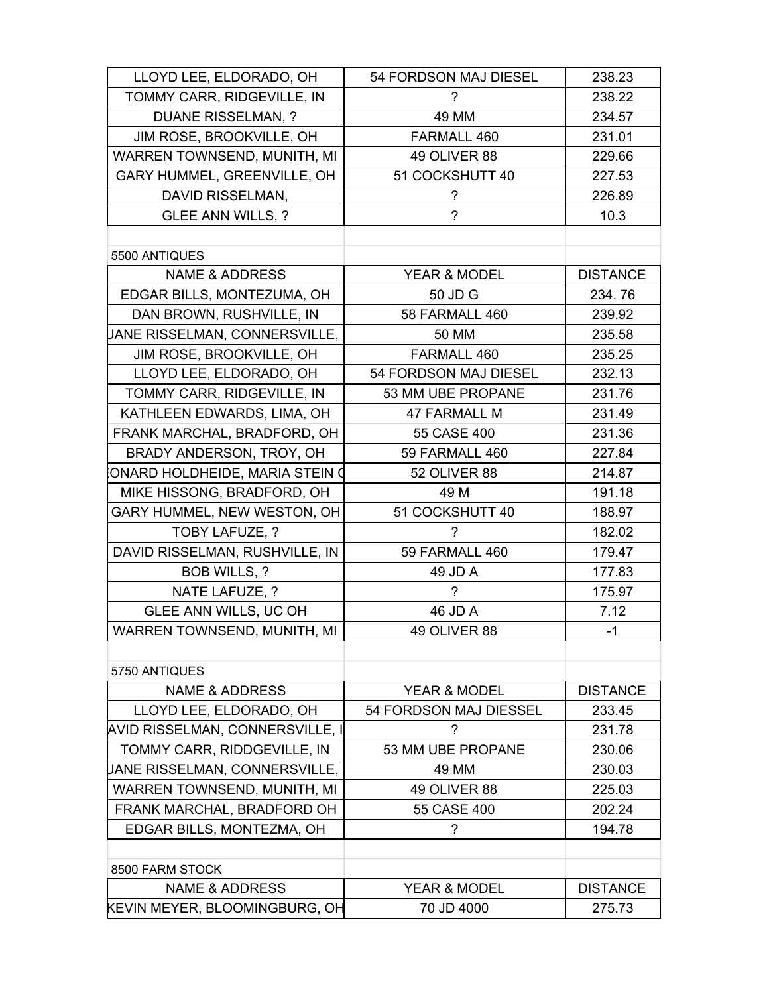| LLOYD LEE, ELDORADO, OH         | 54 FORDSON MAJ DIESEL    | 238.23          |
|---------------------------------|--------------------------|-----------------|
| TOMMY CARR, RIDGEVILLE, IN      | ?                        | 238.22          |
| <b>DUANE RISSELMAN, ?</b>       | 49 MM                    | 234.57          |
| JIM ROSE, BROOKVILLE, OH        | FARMALL 460              | 231.01          |
| WARREN TOWNSEND, MUNITH, MI     | 49 OLIVER 88             | 229.66          |
| GARY HUMMEL, GREENVILLE, OH     | 51 COCKSHUTT 40          | 227.53          |
| DAVID RISSELMAN,                | ?                        | 226.89          |
| <b>GLEE ANN WILLS, ?</b>        | $\gamma$                 | 10.3            |
|                                 |                          |                 |
| 5500 ANTIQUES                   |                          |                 |
| <b>NAME &amp; ADDRESS</b>       | YEAR & MODEL             | <b>DISTANCE</b> |
| EDGAR BILLS, MONTEZUMA, OH      | 50 JD G                  | 234.76          |
| DAN BROWN, RUSHVILLE, IN        | 58 FARMALL 460           | 239.92          |
| JANE RISSELMAN, CONNERSVILLE,   | 50 MM                    | 235.58          |
| JIM ROSE, BROOKVILLE, OH        | FARMALL 460              | 235.25          |
| LLOYD LEE, ELDORADO, OH         | 54 FORDSON MAJ DIESEL    | 232.13          |
| TOMMY CARR, RIDGEVILLE, IN      | 53 MM UBE PROPANE        | 231.76          |
| KATHLEEN EDWARDS, LIMA, OH      | <b>47 FARMALL M</b>      | 231.49          |
| FRANK MARCHAL, BRADFORD, OH     | 55 CASE 400              | 231.36          |
| BRADY ANDERSON, TROY, OH        | 59 FARMALL 460           | 227.84          |
| ONARD HOLDHEIDE, MARIA STEIN O  | 52 OLIVER 88             | 214.87          |
| MIKE HISSONG, BRADFORD, OH      | 49 M                     | 191.18          |
| GARY HUMMEL, NEW WESTON, OH     | 51 COCKSHUTT 40          | 188.97          |
| TOBY LAFUZE, ?                  | ?                        | 182.02          |
| DAVID RISSELMAN, RUSHVILLE, IN  | 59 FARMALL 460           | 179.47          |
| BOB WILLS, ?                    | 49 JD A                  | 177.83          |
| NATE LAFUZE, ?                  | ?                        | 175.97          |
| GLEE ANN WILLS, UC OH           | 46 JD A                  | 7.12            |
| WARREN TOWNSEND, MUNITH, MI     | 49 OLIVER 88             | $-1$            |
|                                 |                          |                 |
| 5750 ANTIQUES                   |                          |                 |
| <b>NAME &amp; ADDRESS</b>       | YEAR & MODEL             | <b>DISTANCE</b> |
| LLOYD LEE, ELDORADO, OH         | 54 FORDSON MAJ DIESSEL   | 233.45          |
| AVID RISSELMAN, CONNERSVILLE, I | ?                        | 231.78          |
| TOMMY CARR, RIDDGEVILLE, IN     | 53 MM UBE PROPANE        | 230.06          |
| JANE RISSELMAN, CONNERSVILLE,   | 49 MM                    | 230.03          |
| WARREN TOWNSEND, MUNITH, MI     | 49 OLIVER 88             | 225.03          |
| FRANK MARCHAL, BRADFORD OH      | 55 CASE 400              | 202.24          |
| EDGAR BILLS, MONTEZMA, OH       | $\overline{\phantom{a}}$ | 194.78          |
|                                 |                          |                 |
| 8500 FARM STOCK                 |                          |                 |
| <b>NAME &amp; ADDRESS</b>       | YEAR & MODEL             | <b>DISTANCE</b> |
| KEVIN MEYER, BLOOMINGBURG, OH   | 70 JD 4000               | 275.73          |
|                                 |                          |                 |